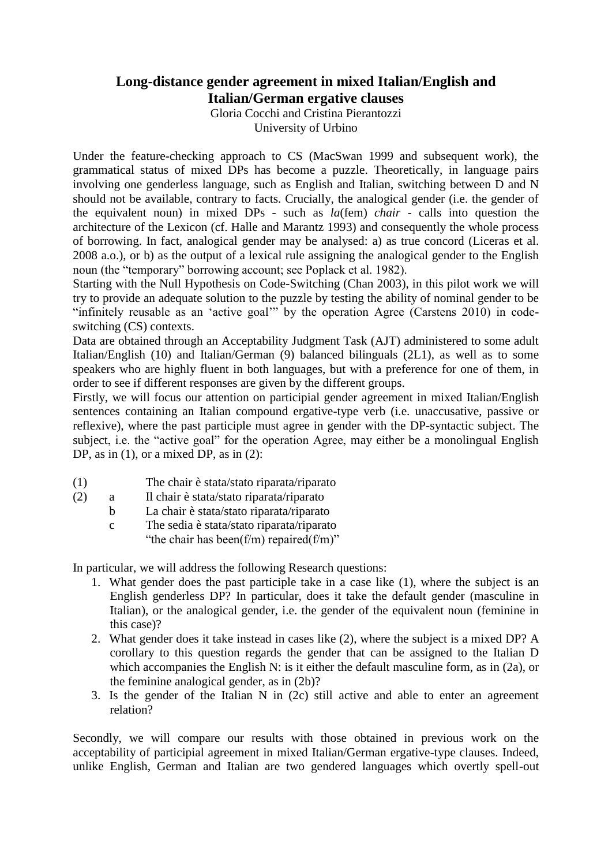## **Long-distance gender agreement in mixed Italian/English and Italian/German ergative clauses**

Gloria Cocchi and Cristina Pierantozzi University of Urbino

Under the feature-checking approach to CS (MacSwan 1999 and subsequent work), the grammatical status of mixed DPs has become a puzzle. Theoretically, in language pairs involving one genderless language, such as English and Italian, switching between D and N should not be available, contrary to facts. Crucially, the analogical gender (i.e. the gender of the equivalent noun) in mixed DPs - such as *la*(fem) *chair* - calls into question the architecture of the Lexicon (cf. Halle and Marantz 1993) and consequently the whole process of borrowing. In fact, analogical gender may be analysed: a) as true concord (Liceras et al. 2008 a.o.), or b) as the output of a lexical rule assigning the analogical gender to the English noun (the "temporary" borrowing account; see Poplack et al. 1982).

Starting with the Null Hypothesis on Code-Switching (Chan 2003), in this pilot work we will try to provide an adequate solution to the puzzle by testing the ability of nominal gender to be "infinitely reusable as an 'active goal'" by the operation Agree (Carstens 2010) in codeswitching (CS) contexts.

Data are obtained through an Acceptability Judgment Task (AJT) administered to some adult Italian/English (10) and Italian/German (9) balanced bilinguals (2L1), as well as to some speakers who are highly fluent in both languages, but with a preference for one of them, in order to see if different responses are given by the different groups.

Firstly, we will focus our attention on participial gender agreement in mixed Italian/English sentences containing an Italian compound ergative-type verb (i.e. unaccusative, passive or reflexive), where the past participle must agree in gender with the DP-syntactic subject. The subject, i.e. the "active goal" for the operation Agree, may either be a monolingual English DP, as in (1), or a mixed DP, as in (2):

- (1) The chair è stata/stato riparata/riparato
- (2) a Il chair è stata/stato riparata/riparato
	- b La chair è stata/stato riparata/riparato
		- c The sedia è stata/stato riparata/riparato "the chair has been( $f/m$ ) repaired( $f/m$ )"

In particular, we will address the following Research questions:

- 1. What gender does the past participle take in a case like (1), where the subject is an English genderless DP? In particular, does it take the default gender (masculine in Italian), or the analogical gender, i.e. the gender of the equivalent noun (feminine in this case)?
- 2. What gender does it take instead in cases like (2), where the subject is a mixed DP? A corollary to this question regards the gender that can be assigned to the Italian D which accompanies the English N: is it either the default masculine form, as in (2a), or the feminine analogical gender, as in (2b)?
- 3. Is the gender of the Italian N in (2c) still active and able to enter an agreement relation?

Secondly, we will compare our results with those obtained in previous work on the acceptability of participial agreement in mixed Italian/German ergative-type clauses. Indeed, unlike English, German and Italian are two gendered languages which overtly spell-out